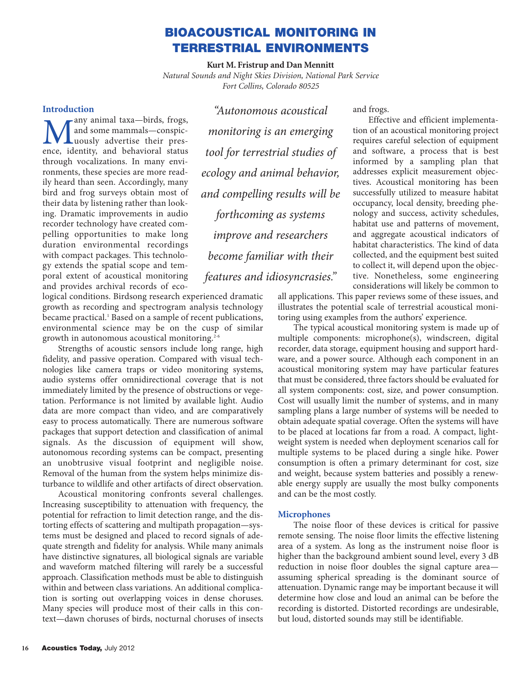# **BIOACOUSTICAL MONITORING IN TERRESTRIAL ENVIRONMENTS**

**Kurt M. Fristrup and Dan Mennitt** *Natural Sounds and Night Skies Division, National Park Service Fort Collins, Colorado 80525*

# **Introduction**

**Many animal taxa—birds, frogs,**<br>and some mammals—conspic-<br>ence, identity, and behavioral status and some mammals—conspicence, identity, and behavioral status through vocalizations. In many environments, these species are more readily heard than seen. Accordingly, many bird and frog surveys obtain most of their data by listening rather than looking. Dramatic improvements in audio recorder technology have created compelling opportunities to make long duration environmental recordings with compact packages. This technology extends the spatial scope and temporal extent of acoustical monitoring and provides archival records of eco-

*"Autonomous acoustical monitoring is an emerging tool for terrestrial studies of ecology and animal behavior, and compelling results will be forthcoming as systems improve and researchers become familiar with their features and idiosyncrasies."*

logical conditions. Birdsong research experienced dramatic growth as recording and spectrogram analysis technology became practical.<sup>1</sup> Based on a sample of recent publications, environmental science may be on the cusp of similar growth in autonomous acoustical monitoring.<sup>2-6</sup>

Strengths of acoustic sensors include long range, high fidelity, and passive operation. Compared with visual technologies like camera traps or video monitoring systems, audio systems offer omnidirectional coverage that is not immediately limited by the presence of obstructions or vegetation. Performance is not limited by available light. Audio data are more compact than video, and are comparatively easy to process automatically. There are numerous software packages that support detection and classification of animal signals. As the discussion of equipment will show, autonomous recording systems can be compact, presenting an unobtrusive visual footprint and negligible noise. Removal of the human from the system helps minimize disturbance to wildlife and other artifacts of direct observation.

Acoustical monitoring confronts several challenges. Increasing susceptibility to attenuation with frequency, the potential for refraction to limit detection range, and the distorting effects of scattering and multipath propagation—systems must be designed and placed to record signals of adequate strength and fidelity for analysis. While many animals have distinctive signatures, all biological signals are variable and waveform matched filtering will rarely be a successful approach. Classification methods must be able to distinguish within and between class variations. An additional complication is sorting out overlapping voices in dense choruses. Many species will produce most of their calls in this context—dawn choruses of birds, nocturnal choruses of insects and frogs.

Effective and efficient implementation of an acoustical monitoring project requires careful selection of equipment and software, a process that is best informed by a sampling plan that addresses explicit measurement objectives. Acoustical monitoring has been successfully utilized to measure habitat occupancy, local density, breeding phenology and success, activity schedules, habitat use and patterns of movement, and aggregate acoustical indicators of habitat characteristics. The kind of data collected, and the equipment best suited to collect it, will depend upon the objective. Nonetheless, some engineering considerations will likely be common to

all applications. This paper reviews some of these issues, and illustrates the potential scale of terrestrial acoustical monitoring using examples from the authors' experience.

The typical acoustical monitoring system is made up of multiple components: microphone(s), windscreen, digital recorder, data storage, equipment housing and support hardware, and a power source. Although each component in an acoustical monitoring system may have particular features that must be considered, three factors should be evaluated for all system components: cost, size, and power consumption. Cost will usually limit the number of systems, and in many sampling plans a large number of systems will be needed to obtain adequate spatial coverage. Often the systems will have to be placed at locations far from a road. A compact, lightweight system is needed when deployment scenarios call for multiple systems to be placed during a single hike. Power consumption is often a primary determinant for cost, size and weight, because system batteries and possibly a renewable energy supply are usually the most bulky components and can be the most costly.

## **Microphones**

The noise floor of these devices is critical for passive remote sensing. The noise floor limits the effective listening area of a system. As long as the instrument noise floor is higher than the background ambient sound level, every 3 dB reduction in noise floor doubles the signal capture area assuming spherical spreading is the dominant source of attenuation. Dynamic range may be important because it will determine how close and loud an animal can be before the recording is distorted. Distorted recordings are undesirable, but loud, distorted sounds may still be identifiable.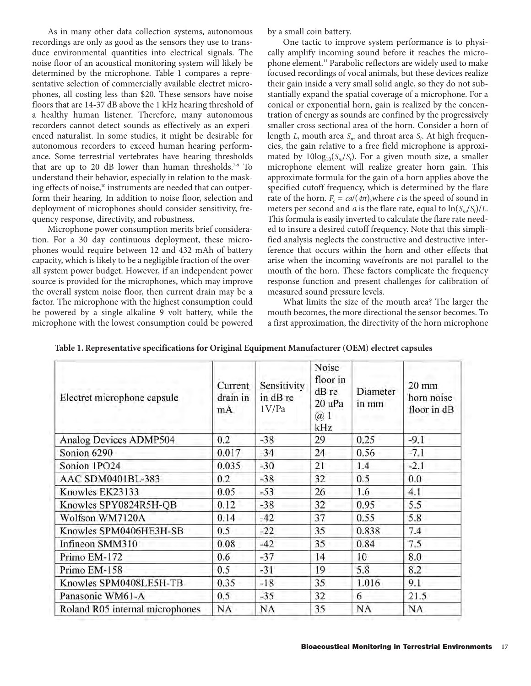As in many other data collection systems, autonomous recordings are only as good as the sensors they use to transduce environmental quantities into electrical signals. The noise floor of an acoustical monitoring system will likely be determined by the microphone. Table 1 compares a representative selection of commercially available electret microphones, all costing less than \$20. These sensors have noise floors that are 14-37 dB above the 1 kHz hearing threshold of a healthy human listener. Therefore, many autonomous recorders cannot detect sounds as effectively as an experienced naturalist. In some studies, it might be desirable for autonomous recorders to exceed human hearing performance. Some terrestrial vertebrates have hearing thresholds that are up to 20 dB lower than human thresholds.<sup>7-9</sup> To understand their behavior, especially in relation to the masking effects of noise,<sup>10</sup> instruments are needed that can outperform their hearing. In addition to noise floor, selection and deployment of microphones should consider sensitivity, frequency response, directivity, and robustness.

Microphone power consumption merits brief consideration. For a 30 day continuous deployment, these microphones would require between 12 and 432 mAh of battery capacity, which is likely to be a negligible fraction of the overall system power budget. However, if an independent power source is provided for the microphones, which may improve the overall system noise floor, then current drain may be a factor. The microphone with the highest consumption could be powered by a single alkaline 9 volt battery, while the microphone with the lowest consumption could be powered

by a small coin battery.

One tactic to improve system performance is to physically amplify incoming sound before it reaches the microphone element.11 Parabolic reflectors are widely used to make focused recordings of vocal animals, but these devices realize their gain inside a very small solid angle, so they do not substantially expand the spatial coverage of a microphone. For a conical or exponential horn, gain is realized by the concentration of energy as sounds are confined by the progressively smaller cross sectional area of the horn. Consider a horn of length *L*, mouth area *S<sup>m</sup>* and throat area *S<sup>t</sup>* . At high frequencies, the gain relative to a free field microphone is approximated by  $10\log_{10}(S_m/S_t)$ . For a given mouth size, a smaller microphone element will realize greater horn gain. This approximate formula for the gain of a horn applies above the specified cutoff frequency, which is determined by the flare rate of the horn.  $F_c = ca/(4\pi)$ , where *c* is the speed of sound in meters per second and *a* is the flare rate, equal to  $\ln(S_m/S_t)/L$ . This formula is easily inverted to calculate the flare rate needed to insure a desired cutoff frequency. Note that this simplified analysis neglects the constructive and destructive interference that occurs within the horn and other effects that arise when the incoming wavefronts are not parallel to the mouth of the horn. These factors complicate the frequency response function and present challenges for calibration of measured sound pressure levels.

What limits the size of the mouth area? The larger the mouth becomes, the more directional the sensor becomes. To a first approximation, the directivity of the horn microphone

| Electret microphone capsule     | Current<br>drain in<br>mA | Sensitivity<br>in dB re<br>1V/Pa | Noise<br>floor in<br>dB re<br>20 uPa<br>$\omega$ 1<br>kHz | Diameter<br>in mm | $20 \text{ mm}$<br>horn noise<br>floor in dB |
|---------------------------------|---------------------------|----------------------------------|-----------------------------------------------------------|-------------------|----------------------------------------------|
| Analog Devices ADMP504          | 0.2                       | $-38$                            | 29                                                        | 0.25              | $-9.1$                                       |
| Sonion 6290                     | 0.017                     | $-34$                            | 24                                                        | 0.56              | $-7.1$                                       |
| Sonion 1PO24                    | 0.035                     | $-30$                            | 21                                                        | 1.4               | $-2.1$                                       |
| AAC SDM0401BL-383               | 0.2                       | $-38$                            | 32                                                        | 0.5               | 0.0                                          |
| Knowles EK23133                 | 0.05                      | $-53$                            | 26                                                        | 1.6               | 4.1                                          |
| Knowles SPY0824R5H-QB           | 0.12                      | $-38$                            | 32                                                        | 0.95              | 5.5                                          |
| Wolfson WM7120A                 | 0.14                      | $-42$                            | 37                                                        | 0.55              | 5.8                                          |
| Knowles SPM0406HE3H-SB          | 0.5                       | $-22$                            | 35                                                        | 0.838             | 7.4                                          |
| Infineon SMM310                 | 0.08                      | $-42$                            | 35                                                        | 0.84              | 7.5                                          |
| Primo EM-172                    | 0.6                       | $-37$                            | 14                                                        | 10                | 8.0                                          |
| Primo EM-158                    | 0.5                       | $-31$                            | 19                                                        | 5.8               | 8.2                                          |
| Knowles SPM0408LE5H-TB          | 0.35                      | $-18$                            | 35                                                        | 1.016             | 9.1                                          |
| Panasonic WM61-A                | $0.5^{\circ}$             | $-35$                            | 32                                                        | 6                 | 21.5                                         |
| Roland R05 internal microphones | NA                        | <b>NA</b>                        | 35                                                        | NA                | NA                                           |

**Table 1. Representative specifications for Original Equipment Manufacturer (OEM) electret capsules**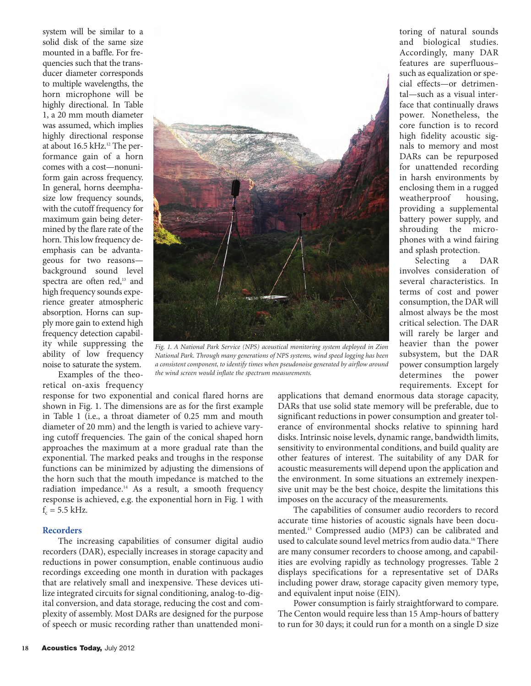system will be similar to a solid disk of the same size mounted in a baffle. For frequencies such that the transducer diameter corresponds to multiple wavelengths, the horn microphone will be highly directional. In Table 1, a 20 mm mouth diameter was assumed, which implies highly directional response at about 16.5 kHz.<sup>12</sup> The performance gain of a horn comes with a cost—nonuniform gain across frequency. In general, horns deemphasize low frequency sounds, with the cutoff frequency for maximum gain being determined by the flare rate of the horn. This low frequency deemphasis can be advantageous for two reasons background sound level spectra are often red,<sup>13</sup> and high frequency sounds experience greater atmospheric absorption. Horns can supply more gain to extend high frequency detection capability while suppressing the ability of low frequency noise to saturate the system.



*Fig. 1. A National Park Service (NPS) acoustical monitoring system deployed in Zion National Park. Through many generations of NPS systems, wind speed logging has been a consistent component, to identify times when pseudonoise generated by airflow around the wind screen would inflate the spectrum measurements.*

Examples of the theoretical on-axis frequency

response for two exponential and conical flared horns are shown in Fig. 1. The dimensions are as for the first example in Table 1 (i.e., a throat diameter of 0.25 mm and mouth diameter of 20 mm) and the length is varied to achieve varying cutoff frequencies. The gain of the conical shaped horn approaches the maximum at a more gradual rate than the exponential. The marked peaks and troughs in the response functions can be minimized by adjusting the dimensions of the horn such that the mouth impedance is matched to the radiation impedance.14 As a result, a smooth frequency response is achieved, e.g. the exponential horn in Fig. 1 with  $f_c = 5.5$  kHz.

### **Recorders**

The increasing capabilities of consumer digital audio recorders (DAR), especially increases in storage capacity and reductions in power consumption, enable continuous audio recordings exceeding one month in duration with packages that are relatively small and inexpensive. These devices utilize integrated circuits for signal conditioning, analog-to-digital conversion, and data storage, reducing the cost and complexity of assembly. Most DARs are designed for the purpose of speech or music recording rather than unattended moni-

toring of natural sounds and biological studies. Accordingly, many DAR features are superfluous– such as equalization or special effects—or detrimental—such as a visual interface that continually draws power. Nonetheless, the core function is to record high fidelity acoustic signals to memory and most DARs can be repurposed for unattended recording in harsh environments by enclosing them in a rugged weatherproof housing, providing a supplemental battery power supply, and shrouding the microphones with a wind fairing and splash protection.

Selecting a DAR involves consideration of several characteristics. In terms of cost and power consumption, the DAR will almost always be the most critical selection. The DAR will rarely be larger and heavier than the power subsystem, but the DAR power consumption largely determines the power requirements. Except for

applications that demand enormous data storage capacity, DARs that use solid state memory will be preferable, due to significant reductions in power consumption and greater tolerance of environmental shocks relative to spinning hard disks. Intrinsic noise levels, dynamic range, bandwidth limits, sensitivity to environmental conditions, and build quality are other features of interest. The suitability of any DAR for acoustic measurements will depend upon the application and the environment. In some situations an extremely inexpensive unit may be the best choice, despite the limitations this imposes on the accuracy of the measurements.

The capabilities of consumer audio recorders to record accurate time histories of acoustic signals have been documented.15 Compressed audio (MP3) can be calibrated and used to calculate sound level metrics from audio data.<sup>16</sup> There are many consumer recorders to choose among, and capabilities are evolving rapidly as technology progresses. Table 2 displays specifications for a representative set of DARs including power draw, storage capacity given memory type, and equivalent input noise (EIN).

Power consumption is fairly straightforward to compare. The Centon would require less than 15 Amp-hours of battery to run for 30 days; it could run for a month on a single D size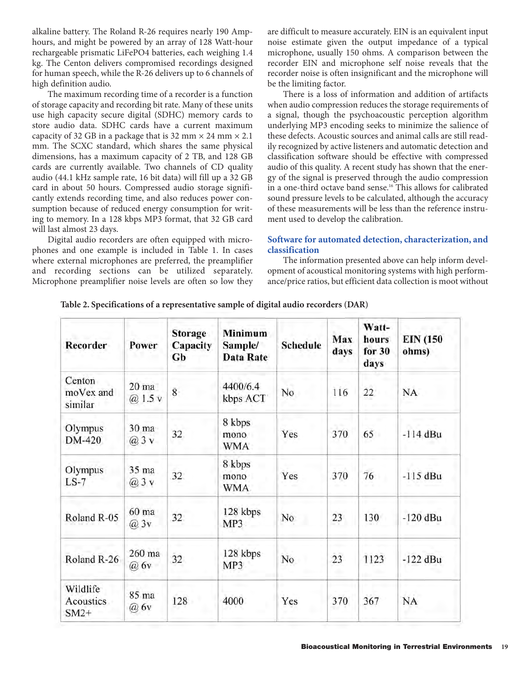alkaline battery. The Roland R-26 requires nearly 190 Amphours, and might be powered by an array of 128 Watt-hour rechargeable prismatic LiFePO4 batteries, each weighing 1.4 kg. The Centon delivers compromised recordings designed for human speech, while the R-26 delivers up to 6 channels of high definition audio.

The maximum recording time of a recorder is a function of storage capacity and recording bit rate. Many of these units use high capacity secure digital (SDHC) memory cards to store audio data. SDHC cards have a current maximum capacity of 32 GB in a package that is 32 mm  $\times$  24 mm  $\times$  2.1 mm. The SCXC standard, which shares the same physical dimensions, has a maximum capacity of 2 TB, and 128 GB cards are currently available. Two channels of CD quality audio (44.1 kHz sample rate, 16 bit data) will fill up a 32 GB card in about 50 hours. Compressed audio storage significantly extends recording time, and also reduces power consumption because of reduced energy consumption for writing to memory. In a 128 kbps MP3 format, that 32 GB card will last almost 23 days.

Digital audio recorders are often equipped with microphones and one example is included in Table 1. In cases where external microphones are preferred, the preamplifier and recording sections can be utilized separately. Microphone preamplifier noise levels are often so low they are difficult to measure accurately. EIN is an equivalent input noise estimate given the output impedance of a typical microphone, usually 150 ohms. A comparison between the recorder EIN and microphone self noise reveals that the recorder noise is often insignificant and the microphone will be the limiting factor.

There is a loss of information and addition of artifacts when audio compression reduces the storage requirements of a signal, though the psychoacoustic perception algorithm underlying MP3 encoding seeks to minimize the salience of these defects. Acoustic sources and animal calls are still readily recognized by active listeners and automatic detection and classification software should be effective with compressed audio of this quality. A recent study has shown that the energy of the signal is preserved through the audio compression in a one-third octave band sense.<sup>16</sup> This allows for calibrated sound pressure levels to be calculated, although the accuracy of these measurements will be less than the reference instrument used to develop the calibration.

## **Software for automated detection, characterization, and classification**

The information presented above can help inform development of acoustical monitoring systems with high performance/price ratios, but efficient data collection is moot without

| Recorder                        | Power                           | <b>Storage</b><br>Capacity<br>Gb | <b>Minimum</b><br>Sample/<br><b>Data Rate</b> | <b>Schedule</b> | Max<br>days | Watt-<br>hours<br>for $30$<br>days | <b>EIN (150</b><br>ohms) |
|---------------------------------|---------------------------------|----------------------------------|-----------------------------------------------|-----------------|-------------|------------------------------------|--------------------------|
| Centon<br>moVex and<br>similar  | 20 ma<br>@1.5v                  | $\bar{8}$                        | 4400/6.4<br>kbps ACT                          | No              | 116         | 22                                 | <b>NA</b>                |
| Olympus<br>DM-420               | 30 <sub>ma</sub><br>$(a)$ 3 $v$ | 32                               | 8 kbps<br>mono.<br><b>WMA</b>                 | Yes             | 370         | 65                                 | -114 dBu                 |
| Olympus<br>$LS-7$               | 35 ma<br>$(a)$ 3 v              | 32                               | 8 kbps<br>mono<br><b>WMA</b>                  | Yes             | 370         | 76                                 | $-115$ dBu               |
| Roland R-05                     | 60 ma<br>$(a)$ 3 $v$            | 32                               | 128 kbps<br>MP3                               | No              | 23          | 130                                | -120 dBu                 |
| Roland R-26                     | 260 ma<br>$\omega$ 6y           | 32                               | 128 kbps<br>MP <sub>3</sub>                   | No              | 23          | 1123                               | $-122$ dBu               |
| Wildlife<br>Acoustics<br>$SM2+$ | 85 ma<br>@ 6v                   | 128                              | 4000                                          | Yes             | 370         | 367                                | NA                       |

**Table 2. Specifications of a representative sample of digital audio recorders (DAR)**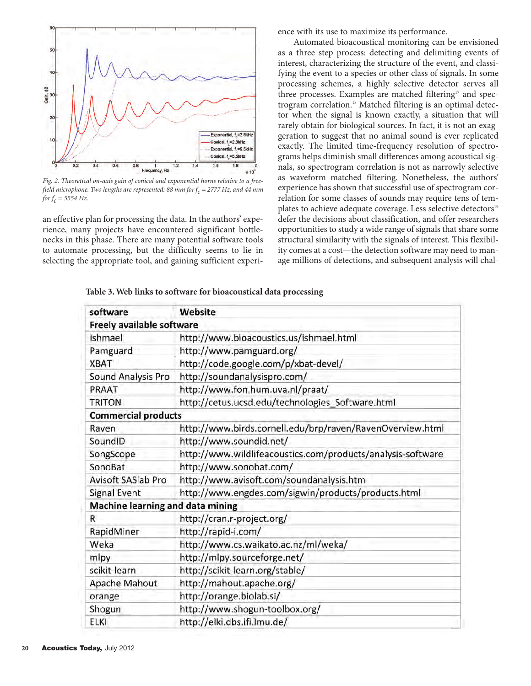

*Fig. 2. Theoretical on-axis gain of conical and exponential horns relative to a freefield microphone. Two lengths are represented: 88 mm for*  $f_c$  *= 2777 Hz, and 44 mm for*  $f_c$  = 5554 Hz.

an effective plan for processing the data. In the authors' experience, many projects have encountered significant bottlenecks in this phase. There are many potential software tools to automate processing, but the difficulty seems to lie in selecting the appropriate tool, and gaining sufficient experience with its use to maximize its performance.

Automated bioacoustical monitoring can be envisioned as a three step process: detecting and delimiting events of interest, characterizing the structure of the event, and classifying the event to a species or other class of signals. In some processing schemes, a highly selective detector serves all three processes. Examples are matched filtering<sup>17</sup> and spectrogram correlation.<sup>18</sup> Matched filtering is an optimal detector when the signal is known exactly, a situation that will rarely obtain for biological sources. In fact, it is not an exaggeration to suggest that no animal sound is ever replicated exactly. The limited time-frequency resolution of spectrograms helps diminish small differences among acoustical signals, so spectrogram correlation is not as narrowly selective as waveform matched filtering. Nonetheless, the authors' experience has shown that successful use of spectrogram correlation for some classes of sounds may require tens of templates to achieve adequate coverage. Less selective detectors<sup>19</sup> defer the decisions about classification, and offer researchers opportunities to study a wide range of signals that share some structural similarity with the signals of interest. This flexibility comes at a cost—the detection software may need to manage millions of detections, and subsequent analysis will chal-

**Table 3. Web links to software for bioacoustical data processing**

| software                         | Website                                                     |  |  |  |
|----------------------------------|-------------------------------------------------------------|--|--|--|
| Freely available software        |                                                             |  |  |  |
| Ishmael                          | http://www.bioacoustics.us/ishmael.html                     |  |  |  |
| Pamguard                         | http://www.pamguard.org/                                    |  |  |  |
| <b>XBAT</b>                      | http://code.google.com/p/xbat-devel/                        |  |  |  |
| Sound Analysis Pro               | http://soundanalysispro.com/                                |  |  |  |
| PRAAT                            | http://www.fon.hum.uva.nl/praat/                            |  |  |  |
| <b>TRITON</b>                    | http://cetus.ucsd.edu/technologies_Software.html            |  |  |  |
| <b>Commercial products</b>       |                                                             |  |  |  |
| Raven                            | http://www.birds.cornell.edu/brp/raven/RavenOverview.html   |  |  |  |
| SoundID                          | http://www.soundid.net/                                     |  |  |  |
| SongScope                        | http://www.wildlifeacoustics.com/products/analysis-software |  |  |  |
| SonoBat                          | http://www.sonobat.com/                                     |  |  |  |
| <b>Avisoft SASIab Pro</b>        | http://www.avisoft.com/soundanalysis.htm                    |  |  |  |
| <b>Signal Event</b>              | http://www.engdes.com/sigwin/products/products.html         |  |  |  |
| Machine learning and data mining |                                                             |  |  |  |
| R                                | http://cran.r-project.org/                                  |  |  |  |
| RapidMiner                       | http://rapid-i.com/                                         |  |  |  |
| Weka                             | http://www.cs.waikato.ac.nz/ml/weka/                        |  |  |  |
| mlpy                             | http://mlpy.sourceforge.net/                                |  |  |  |
| scikit-learn                     | http://scikit-learn.org/stable/                             |  |  |  |
| <b>Apache Mahout</b>             | http://mahout.apache.org/                                   |  |  |  |
| orange                           | http://orange.biolab.si/                                    |  |  |  |
| Shogun                           | http://www.shogun-toolbox.org/                              |  |  |  |
| ELKI                             | http://elki.dbs.ifi.lmu.de/                                 |  |  |  |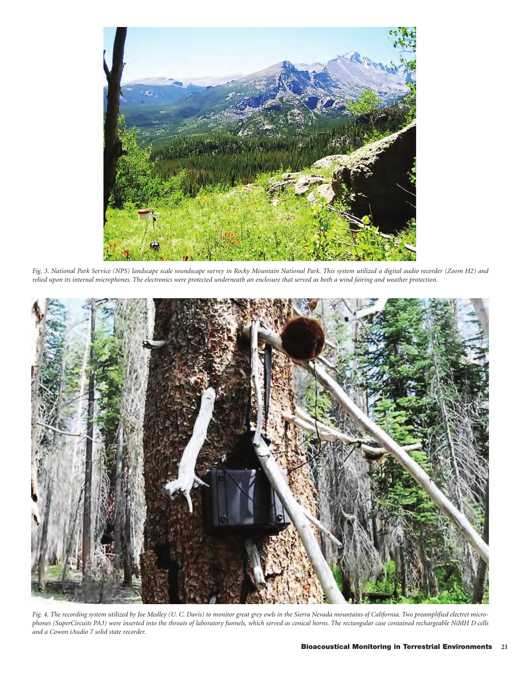

*Fig. 3. National Park Service (NPS) landscape scale soundscape survey in Rocky Mountain National Park. This system utilized a digital audio recorder (Zoom H2) and relied upon its internal microphones. The electronics were protected underneath an enclosure that served as both a wind fairing and weather protection.* 



*Fig. 4. The recording system utilized by Joe Medley (U. C. Davis) to monitor great grey owls in the Sierra Nevada mountains of California. Two preamplified electret microphones (SuperCircuits PA3) were inserted into the throats of laboratory funnels, which served as conical horns. The rectangular case contained rechargeable NiMH D cells and a Cowon iAudio 7 solid state recorder.*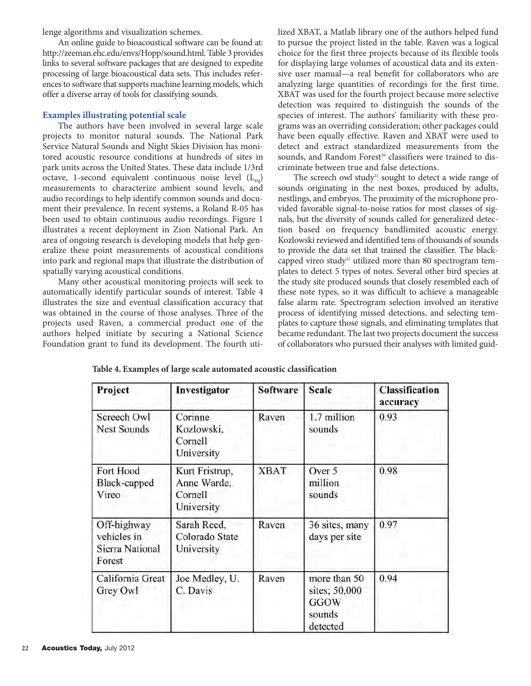lenge algorithms and visualization schemes.

An online guide to bioacoustical software can be found at: http://zeeman.ehc.edu/envs/Hopp/sound.html. Table 3 provides links to several software packages that are designed to expedite processing of large bioacoustical data sets. This includes references to software that supports machine learning models, which offer a diverse array of tools for classifying sounds.

## **Examples illustrating potential scale**

The authors have been involved in several large scale projects to monitor natural sounds. The National Park Service Natural Sounds and Night Skies Division has monitored acoustic resource conditions at hundreds of sites in park units across the United States. These data include 1/3rd octave, 1-second equivalent continuous noise level  $(L_{eq})$ measurements to characterize ambient sound levels, and audio recordings to help identify common sounds and document their prevalence. In recent systems, a Roland R-05 has been used to obtain continuous audio recordings. Figure 1 illustrates a recent deployment in Zion National Park. An area of ongoing research is developing models that help generalize these point measurements of acoustical conditions into park and regional maps that illustrate the distribution of spatially varying acoustical conditions.

Many other acoustical monitoring projects will seek to automatically identify particular sounds of interest. Table 4 illustrates the size and eventual classification accuracy that was obtained in the course of those analyses. Three of the projects used Raven, a commercial product one of the authors helped initiate by securing a National Science Foundation grant to fund its development. The fourth utilized XBAT, a Matlab library one of the authors helped fund to pursue the project listed in the table. Raven was a logical choice for the first three projects because of its flexible tools for displaying large volumes of acoustical data and its extensive user manual—a real benefit for collaborators who are analyzing large quantities of recordings for the first time. XBAT was used for the fourth project because more selective detection was required to distinguish the sounds of the species of interest. The authors' familiarity with these programs was an overriding consideration; other packages could have been equally effective. Raven and XBAT were used to detect and extract standardized measurements from the sounds, and Random Forest<sup>20</sup> classifiers were trained to discriminate between true and false detections.

The screech owl study<sup>21</sup> sought to detect a wide range of sounds originating in the nest boxes, produced by adults, nestlings, and embryos. The proximity of the microphone provided favorable signal-to-noise ratios for most classes of signals, but the diversity of sounds called for generalized detection based on frequency bandlimited acoustic energy. Kozlowski reviewed and identified tens of thousands of sounds to provide the data set that trained the classifier. The blackcapped vireo study<sup>22</sup> utilized more than 80 spectrogram templates to detect 5 types of notes. Several other bird species at the study site produced sounds that closely resembled each of these note types, so it was difficult to achieve a manageable false alarm rate. Spectrogram selection involved an iterative process of identifying missed detections, and selecting templates to capture those signals, and eliminating templates that became redundant. The last two projects document the success of collaborators who pursued their analyses with limited guid-

| Project                                                 | Investigator                                           | <b>Software</b> | <b>Scale</b>                                                       | <b>Classification</b><br>accuracy |  |
|---------------------------------------------------------|--------------------------------------------------------|-----------------|--------------------------------------------------------------------|-----------------------------------|--|
| Screech Owl<br><b>Nest Sounds</b>                       | Corinne<br>Kozlowski,<br>Cornell<br>University         | Raven           | 1.7 million<br>sounds                                              | 0.93                              |  |
| Fort Hood<br>Black-capped<br>Vireo                      | Kurt Fristrup,<br>Anne Warde,<br>Cornell<br>University | <b>XBAT</b>     | Over 5<br>million<br>sounds                                        | 0.98                              |  |
| Off-highway<br>vehicles in<br>Sierra National<br>Forest | Sarah Reed,<br>Colorado State<br>University            | Raven           | 36 sites, many<br>days per site                                    | 0.97                              |  |
| California Great<br>Grey Owl                            | Joe Medley, U.<br>C. Davis                             | Raven           | more than 50<br>sites; 50,000<br><b>GGOW</b><br>sounds<br>detected | 0.94                              |  |

**Table 4. Examples of large scale automated acoustic classification**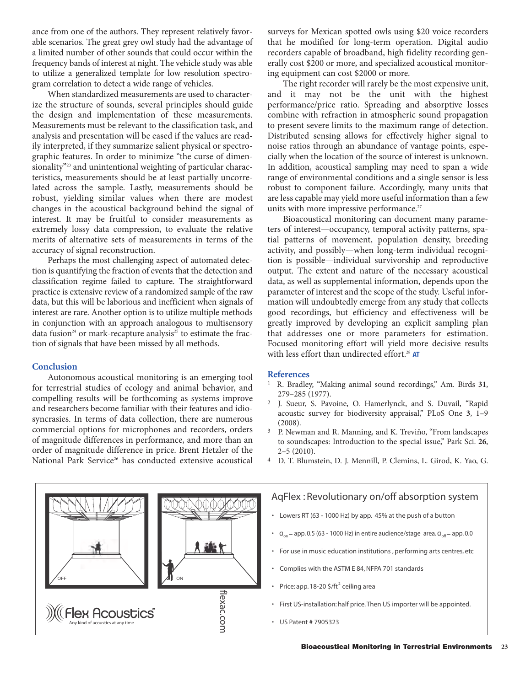ance from one of the authors. They represent relatively favorable scenarios. The great grey owl study had the advantage of a limited number of other sounds that could occur within the frequency bands of interest at night. The vehicle study was able to utilize a generalized template for low resolution spectrogram correlation to detect a wide range of vehicles.

When standardized measurements are used to characterize the structure of sounds, several principles should guide the design and implementation of these measurements. Measurements must be relevant to the classification task, and analysis and presentation will be eased if the values are readily interpreted, if they summarize salient physical or spectrographic features. In order to minimize "the curse of dimensionality"<sup>23</sup> and unintentional weighting of particular characteristics, measurements should be at least partially uncorrelated across the sample. Lastly, measurements should be robust, yielding similar values when there are modest changes in the acoustical background behind the signal of interest. It may be fruitful to consider measurements as extremely lossy data compression, to evaluate the relative merits of alternative sets of measurements in terms of the accuracy of signal reconstruction.

Perhaps the most challenging aspect of automated detection is quantifying the fraction of events that the detection and classification regime failed to capture. The straightforward practice is extensive review of a randomized sample of the raw data, but this will be laborious and inefficient when signals of interest are rare. Another option is to utilize multiple methods in conjunction with an approach analogous to multisensory data fusion<sup>24</sup> or mark-recapture analysis<sup>25</sup> to estimate the fraction of signals that have been missed by all methods.

### **Conclusion**

Autonomous acoustical monitoring is an emerging tool for terrestrial studies of ecology and animal behavior, and compelling results will be forthcoming as systems improve and researchers become familiar with their features and idiosyncrasies. In terms of data collection, there are numerous commercial options for microphones and recorders, orders of magnitude differences in performance, and more than an order of magnitude difference in price. Brent Hetzler of the National Park Service<sup>26</sup> has conducted extensive acoustical

surveys for Mexican spotted owls using \$20 voice recorders that he modified for long-term operation. Digital audio recorders capable of broadband, high fidelity recording generally cost \$200 or more, and specialized acoustical monitoring equipment can cost \$2000 or more.

The right recorder will rarely be the most expensive unit, and it may not be the unit with the highest performance/price ratio. Spreading and absorptive losses combine with refraction in atmospheric sound propagation to present severe limits to the maximum range of detection. Distributed sensing allows for effectively higher signal to noise ratios through an abundance of vantage points, especially when the location of the source of interest is unknown. In addition, acoustical sampling may need to span a wide range of environmental conditions and a single sensor is less robust to component failure. Accordingly, many units that are less capable may yield more useful information than a few units with more impressive performance.<sup>27</sup>

Bioacoustical monitoring can document many parameters of interest—occupancy, temporal activity patterns, spatial patterns of movement, population density, breeding activity, and possibly—when long-term individual recognition is possible—individual survivorship and reproductive output. The extent and nature of the necessary acoustical data, as well as supplemental information, depends upon the parameter of interest and the scope of the study. Useful information will undoubtedly emerge from any study that collects good recordings, but efficiency and effectiveness will be greatly improved by developing an explicit sampling plan that addresses one or more parameters for estimation. Focused monitoring effort will yield more decisive results with less effort than undirected effort.<sup>28</sup> AT

### **References**

- 1 R. Bradley, "Making animal sound recordings," Am. Birds **31**, 279–285 (1977).
- J. Sueur, S. Pavoine, O. Hamerlynck, and S. Duvail, "Rapid acoustic survey for biodiversity appraisal," PLoS One **3**, 1–9 (2008).
- 3 P. Newman and R. Manning, and K. Treviño, "From landscapes to soundscapes: Introduction to the special issue," Park Sci. **26**, 2–5 (2010).
- 4 D. T. Blumstein, D. J. Mennill, P. Clemins, L. Girod, K. Yao, G.